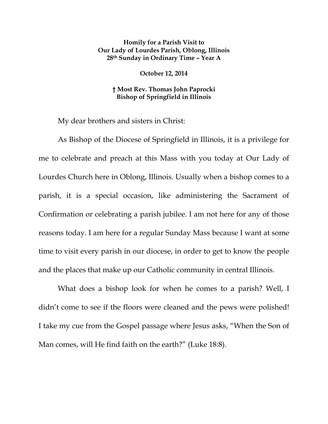## **Homily for a Parish Visit to Our Lady of Lourdes Parish, Oblong, Illinois 28th Sunday in Ordinary Time – Year A**

## **October 12, 2014**

## **† Most Rev. Thomas John Paprocki Bishop of Springfield in Illinois**

My dear brothers and sisters in Christ:

As Bishop of the Diocese of Springfield in Illinois, it is a privilege for me to celebrate and preach at this Mass with you today at Our Lady of Lourdes Church here in Oblong, Illinois. Usually when a bishop comes to a parish, it is a special occasion, like administering the Sacrament of Confirmation or celebrating a parish jubilee. I am not here for any of those reasons today. I am here for a regular Sunday Mass because I want at some time to visit every parish in our diocese, in order to get to know the people and the places that make up our Catholic community in central Illinois.

What does a bishop look for when he comes to a parish? Well, I didn't come to see if the floors were cleaned and the pews were polished! I take my cue from the Gospel passage where Jesus asks, "When the Son of Man comes, will He find faith on the earth?" (Luke 18:8).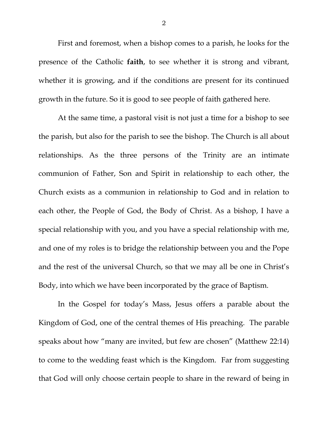First and foremost, when a bishop comes to a parish, he looks for the presence of the Catholic **faith**, to see whether it is strong and vibrant, whether it is growing, and if the conditions are present for its continued growth in the future. So it is good to see people of faith gathered here.

At the same time, a pastoral visit is not just a time for a bishop to see the parish, but also for the parish to see the bishop. The Church is all about relationships. As the three persons of the Trinity are an intimate communion of Father, Son and Spirit in relationship to each other, the Church exists as a communion in relationship to God and in relation to each other, the People of God, the Body of Christ. As a bishop, I have a special relationship with you, and you have a special relationship with me, and one of my roles is to bridge the relationship between you and the Pope and the rest of the universal Church, so that we may all be one in Christ's Body, into which we have been incorporated by the grace of Baptism.

In the Gospel for today's Mass, Jesus offers a parable about the Kingdom of God, one of the central themes of His preaching. The parable speaks about how "many are invited, but few are chosen" (Matthew 22:14) to come to the wedding feast which is the Kingdom. Far from suggesting that God will only choose certain people to share in the reward of being in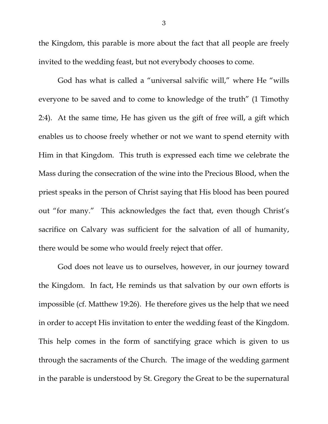the Kingdom, this parable is more about the fact that all people are freely invited to the wedding feast, but not everybody chooses to come.

 God has what is called a "universal salvific will," where He "wills everyone to be saved and to come to knowledge of the truth" (1 Timothy 2:4). At the same time, He has given us the gift of free will, a gift which enables us to choose freely whether or not we want to spend eternity with Him in that Kingdom. This truth is expressed each time we celebrate the Mass during the consecration of the wine into the Precious Blood, when the priest speaks in the person of Christ saying that His blood has been poured out "for many." This acknowledges the fact that, even though Christ's sacrifice on Calvary was sufficient for the salvation of all of humanity, there would be some who would freely reject that offer.

 God does not leave us to ourselves, however, in our journey toward the Kingdom. In fact, He reminds us that salvation by our own efforts is impossible (cf. Matthew 19:26). He therefore gives us the help that we need in order to accept His invitation to enter the wedding feast of the Kingdom. This help comes in the form of sanctifying grace which is given to us through the sacraments of the Church. The image of the wedding garment in the parable is understood by St. Gregory the Great to be the supernatural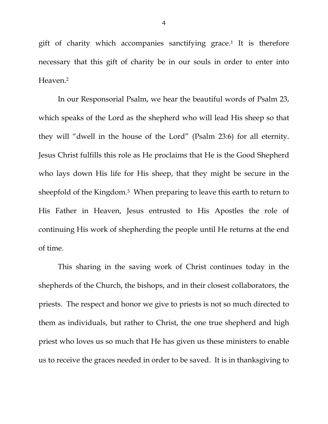gift of charity which accompanies sanctifying grace.<sup>1</sup> It is therefore necessary that this gift of charity be in our souls in order to enter into Heaven.2

 In our Responsorial Psalm, we hear the beautiful words of Psalm 23, which speaks of the Lord as the shepherd who will lead His sheep so that they will "dwell in the house of the Lord" (Psalm 23:6) for all eternity. Jesus Christ fulfills this role as He proclaims that He is the Good Shepherd who lays down His life for His sheep, that they might be secure in the sheepfold of the Kingdom.<sup>3</sup> When preparing to leave this earth to return to His Father in Heaven, Jesus entrusted to His Apostles the role of continuing His work of shepherding the people until He returns at the end of time.

 This sharing in the saving work of Christ continues today in the shepherds of the Church, the bishops, and in their closest collaborators, the priests. The respect and honor we give to priests is not so much directed to them as individuals, but rather to Christ, the one true shepherd and high priest who loves us so much that He has given us these ministers to enable us to receive the graces needed in order to be saved. It is in thanksgiving to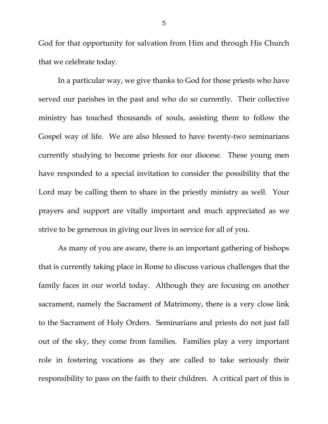God for that opportunity for salvation from Him and through His Church that we celebrate today.

 In a particular way, we give thanks to God for those priests who have served our parishes in the past and who do so currently. Their collective ministry has touched thousands of souls, assisting them to follow the Gospel way of life. We are also blessed to have twenty-two seminarians currently studying to become priests for our diocese. These young men have responded to a special invitation to consider the possibility that the Lord may be calling them to share in the priestly ministry as well. Your prayers and support are vitally important and much appreciated as we strive to be generous in giving our lives in service for all of you.

 As many of you are aware, there is an important gathering of bishops that is currently taking place in Rome to discuss various challenges that the family faces in our world today. Although they are focusing on another sacrament, namely the Sacrament of Matrimony, there is a very close link to the Sacrament of Holy Orders. Seminarians and priests do not just fall out of the sky, they come from families. Families play a very important role in fostering vocations as they are called to take seriously their responsibility to pass on the faith to their children. A critical part of this is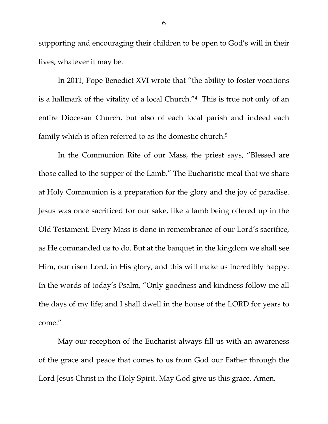supporting and encouraging their children to be open to God's will in their lives, whatever it may be.

 In 2011, Pope Benedict XVI wrote that "the ability to foster vocations is a hallmark of the vitality of a local Church."4 This is true not only of an entire Diocesan Church, but also of each local parish and indeed each family which is often referred to as the domestic church.<sup>5</sup>

In the Communion Rite of our Mass, the priest says, "Blessed are those called to the supper of the Lamb." The Eucharistic meal that we share at Holy Communion is a preparation for the glory and the joy of paradise. Jesus was once sacrificed for our sake, like a lamb being offered up in the Old Testament. Every Mass is done in remembrance of our Lord's sacrifice, as He commanded us to do. But at the banquet in the kingdom we shall see Him, our risen Lord, in His glory, and this will make us incredibly happy. In the words of today's Psalm, "Only goodness and kindness follow me all the days of my life; and I shall dwell in the house of the LORD for years to come."

May our reception of the Eucharist always fill us with an awareness of the grace and peace that comes to us from God our Father through the Lord Jesus Christ in the Holy Spirit. May God give us this grace. Amen.